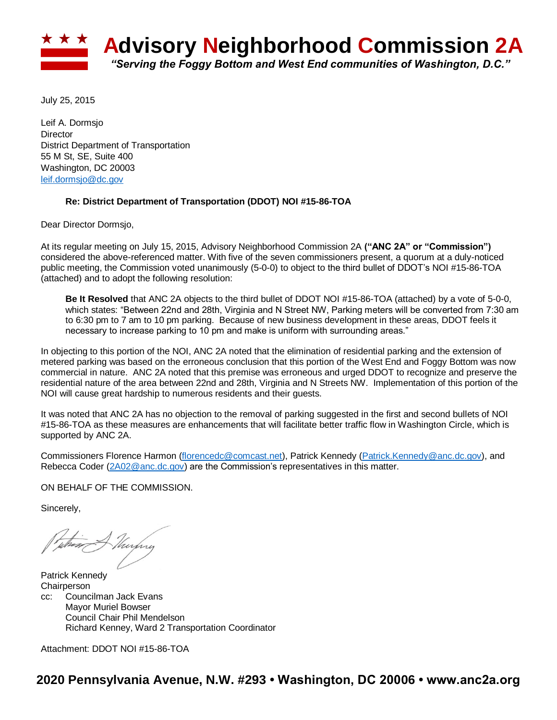

July 25, 2015

Leif A. Dormsjo **Director** District Department of Transportation 55 M St, SE, Suite 400 Washington, DC 20003 [leif.dormsjo@dc.gov](mailto:leif.dormsjo@dc.gov)

## **Re: District Department of Transportation (DDOT) NOI #15-86-TOA**

Dear Director Dormsjo,

At its regular meeting on July 15, 2015, Advisory Neighborhood Commission 2A **("ANC 2A" or "Commission")** considered the above-referenced matter. With five of the seven commissioners present, a quorum at a duly-noticed public meeting, the Commission voted unanimously (5-0-0) to object to the third bullet of DDOT's NOI #15-86-TOA (attached) and to adopt the following resolution:

**Be It Resolved** that ANC 2A objects to the third bullet of DDOT NOI #15-86-TOA (attached) by a vote of 5-0-0, which states: "Between 22nd and 28th, Virginia and N Street NW, Parking meters will be converted from 7:30 am to 6:30 pm to 7 am to 10 pm parking. Because of new business development in these areas, DDOT feels it necessary to increase parking to 10 pm and make is uniform with surrounding areas."

In objecting to this portion of the NOI, ANC 2A noted that the elimination of residential parking and the extension of metered parking was based on the erroneous conclusion that this portion of the West End and Foggy Bottom was now commercial in nature. ANC 2A noted that this premise was erroneous and urged DDOT to recognize and preserve the residential nature of the area between 22nd and 28th, Virginia and N Streets NW. Implementation of this portion of the NOI will cause great hardship to numerous residents and their guests.

It was noted that ANC 2A has no objection to the removal of parking suggested in the first and second bullets of NOI #15-86-TOA as these measures are enhancements that will facilitate better traffic flow in Washington Circle, which is supported by ANC 2A.

Commissioners Florence Harmon [\(florencedc@comcast.net\)](mailto:florencedc@comcast.net), Patrick Kennedy [\(Patrick.Kennedy@anc.dc.gov\)](mailto:Patrick.Kennedy@anc.dc.gov), and Rebecca Coder [\(2A02@anc.dc.gov\)](mailto:2A02@anc.dc.gov) are the Commission's representatives in this matter.

ON BEHALF OF THE COMMISSION.

Sincerely,

thirty

Patrick Kennedy **Chairperson** cc: Councilman Jack Evans Mayor Muriel Bowser Council Chair Phil Mendelson Richard Kenney, Ward 2 Transportation Coordinator

Attachment: DDOT NOI #15-86-TOA